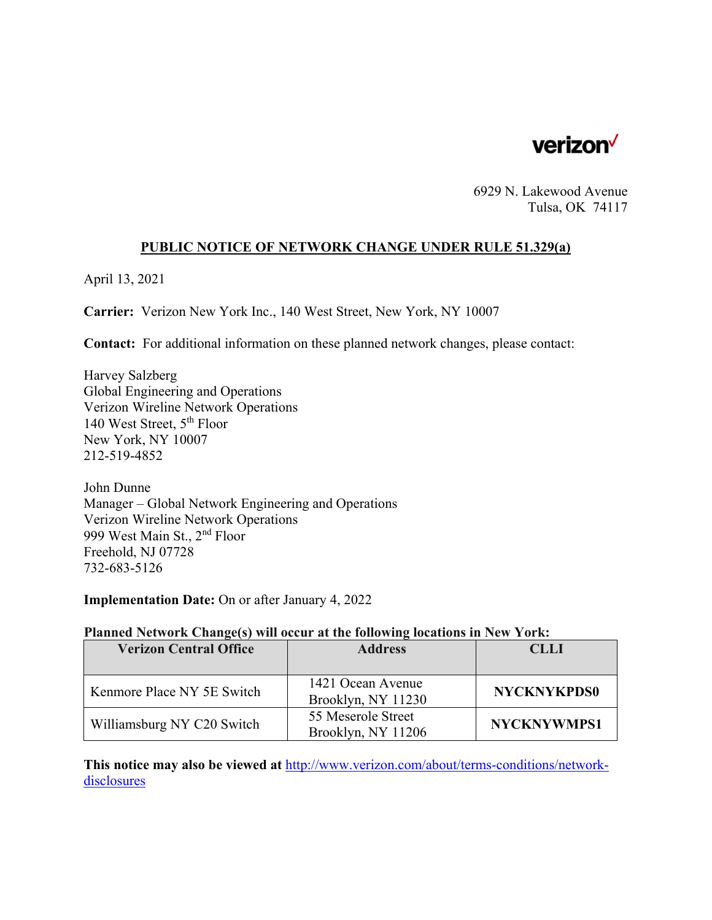

6929 N. Lakewood Avenue Tulsa, OK 74117

#### **PUBLIC NOTICE OF NETWORK CHANGE UNDER RULE 51.329(a)**

April 13, 2021

**Carrier:** Verizon New York Inc., 140 West Street, New York, NY 10007

**Contact:** For additional information on these planned network changes, please contact:

Harvey Salzberg Global Engineering and Operations Verizon Wireline Network Operations 140 West Street, 5th Floor New York, NY 10007 212-519-4852

John Dunne Manager – Global Network Engineering and Operations Verizon Wireline Network Operations 999 West Main St., 2nd Floor Freehold, NJ 07728 732-683-5126

**Implementation Date:** On or after January 4, 2022

#### **Planned Network Change(s) will occur at the following locations in New York:**

| <b>Verizon Central Office</b> | <b>Address</b>     | <b>CLLI</b>        |
|-------------------------------|--------------------|--------------------|
|                               |                    |                    |
| Kenmore Place NY 5E Switch    | 1421 Ocean Avenue  | <b>NYCKNYKPDS0</b> |
|                               | Brooklyn, NY 11230 |                    |
| Williamsburg NY C20 Switch    | 55 Meserole Street | <b>NYCKNYWMPS1</b> |
|                               | Brooklyn, NY 11206 |                    |

**This notice may also be viewed at** http://www.verizon.com/about/terms-conditions/networkdisclosures